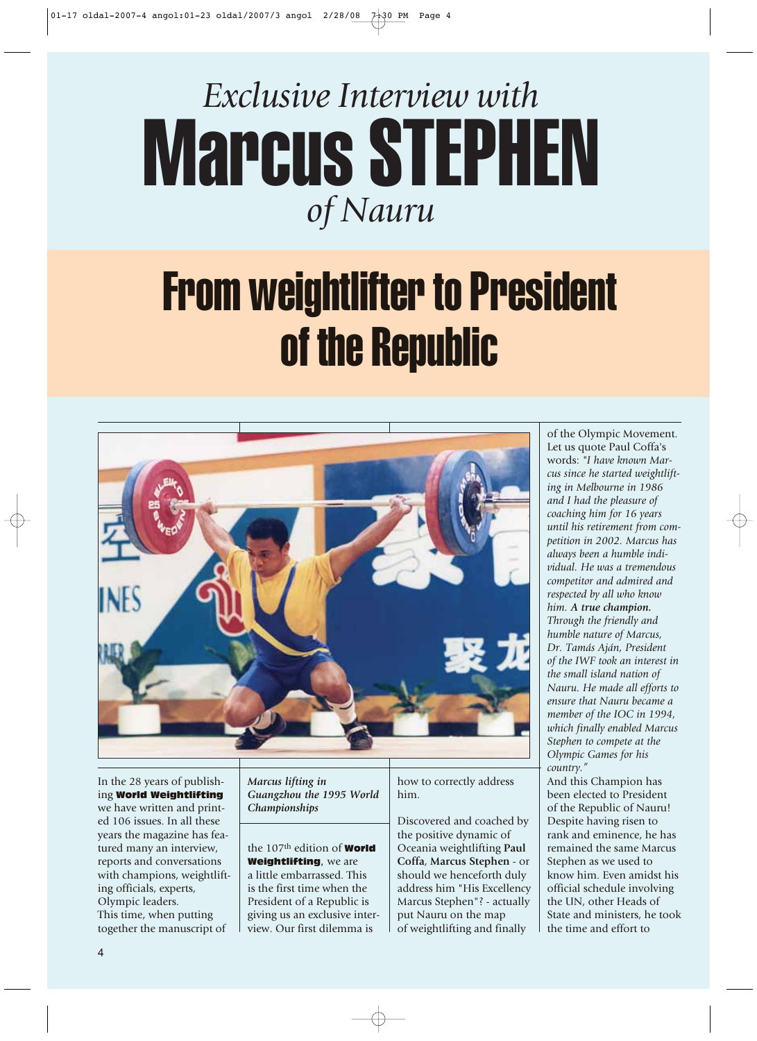

## From weightlifter to President of the Republic



In the 28 years of publishing World Weightlifting we have written and printed 106 issues. In all these years the magazine has featured many an interview, reports and conversations with champions, weightlifting officials, experts, Olympic leaders. This time, when putting together the manuscript of

*Marcus lifting in Guangzhou the 1995 World Championships*

the 107<sup>th</sup> edition of **World** Weightlifting, we are a little embarrassed. This is the first time when the President of a Republic is giving us an exclusive interview. Our first dilemma is

how to correctly address him.

Discovered and coached by the positive dynamic of Oceania weightlifting **Paul Coffa**, **Marcus Stephen** - or should we henceforth duly address him "His Excellency Marcus Stephen"? - actually put Nauru on the map of weightlifting and finally

of the Olympic Movement. Let us quote Paul Coffa's words: *"I have known Marcus since he started weightlifting in Melbourne in 1986 and I had the pleasure of coaching him for 16 years until his retirement from competition in 2002. Marcus has always been a humble individual. He was a tremendous competitor and admired and respected by all who know him. A true champion. Through the friendly and humble nature of Marcus, Dr. Tamás Aján, President of the IWF took an interest in the small island nation of Nauru. He made all efforts to ensure that Nauru became a member of the IOC in 1994, which finally enabled Marcus Stephen to compete at the Olympic Games for his country."*

And this Champion has been elected to President of the Republic of Nauru! Despite having risen to rank and eminence, he has remained the same Marcus Stephen as we used to know him. Even amidst his official schedule involving the UN, other Heads of State and ministers, he took the time and effort to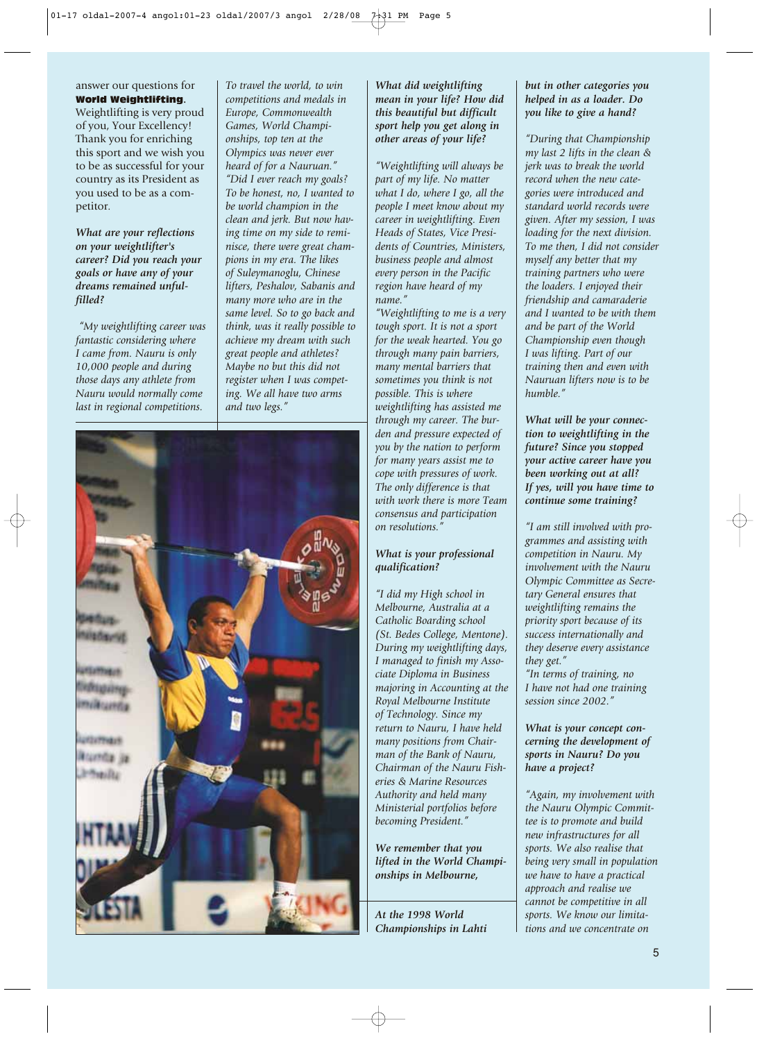answer our questions for World Weightlifting**.**

Weightlifting is very proud of you, Your Excellency! Thank you for enriching this sport and we wish you to be as successful for your country as its President as you used to be as a competitor.

*What are your reflections on your weightlifter's career? Did you reach your goals or have any of your dreams remained unfulfilled?*

*"My weightlifting career was fantastic considering where I came from. Nauru is only 10,000 people and during those days any athlete from Nauru would normally come last in regional competitions.*

*competitions and medals in Europe, Commonwealth Games, World Championships, top ten at the Olympics was never ever heard of for a Nauruan." "Did I ever reach my goals? To be honest, no, I wanted to be world champion in the clean and jerk. But now having time on my side to reminisce, there were great champions in my era. The likes of Suleymanoglu, Chinese lifters, Peshalov, Sabanis and many more who are in the same level. So to go back and think, was it really possible to achieve my dream with such great people and athletes? Maybe no but this did not register when I was competing. We all have two arms and two legs."*

*To travel the world, to win*



*What did weightlifting mean in your life? How did this beautiful but difficult sport help you get along in other areas of your life?*

*"Weightlifting will always be part of my life. No matter what I do, where I go, all the people I meet know about my career in weightlifting. Even Heads of States, Vice Presidents of Countries, Ministers, business people and almost every person in the Pacific region have heard of my name."*

*"Weightlifting to me is a very tough sport. It is not a sport for the weak hearted. You go through many pain barriers, many mental barriers that sometimes you think is not possible. This is where weightlifting has assisted me through my career. The burden and pressure expected of you by the nation to perform for many years assist me to cope with pressures of work. The only difference is that with work there is more Team consensus and participation on resolutions."*

## *What is your professional qualification?*

*"I did my High school in Melbourne, Australia at a Catholic Boarding school (St. Bedes College, Mentone). During my weightlifting days, I managed to finish my Associate Diploma in Business majoring in Accounting at the Royal Melbourne Institute of Technology. Since my return to Nauru, I have held many positions from Chairman of the Bank of Nauru, Chairman of the Nauru Fisheries & Marine Resources Authority and held many Ministerial portfolios before becoming President."*

*We remember that you lifted in the World Championships in Melbourne,* 

*At the 1998 World Championships in Lahti*

## *but in other categories you helped in as a loader. Do you like to give a hand?*

*"During that Championship my last 2 lifts in the clean & jerk was to break the world record when the new categories were introduced and standard world records were given. After my session, I was loading for the next division. To me then, I did not consider myself any better that my training partners who were the loaders. I enjoyed their friendship and camaraderie and I wanted to be with them and be part of the World Championship even though I was lifting. Part of our training then and even with Nauruan lifters now is to be humble."*

*What will be your connection to weightlifting in the future? Since you stopped your active career have you been working out at all? If yes, will you have time to continue some training?*

*"I am still involved with programmes and assisting with competition in Nauru. My involvement with the Nauru Olympic Committee as Secretary General ensures that weightlifting remains the priority sport because of its success internationally and they deserve every assistance they get."*

*"In terms of training, no I have not had one training session since 2002."*

*What is your concept concerning the development of sports in Nauru? Do you have a project?*

*"Again, my involvement with the Nauru Olympic Committee is to promote and build new infrastructures for all sports. We also realise that being very small in population we have to have a practical approach and realise we cannot be competitive in all sports. We know our limitations and we concentrate on*